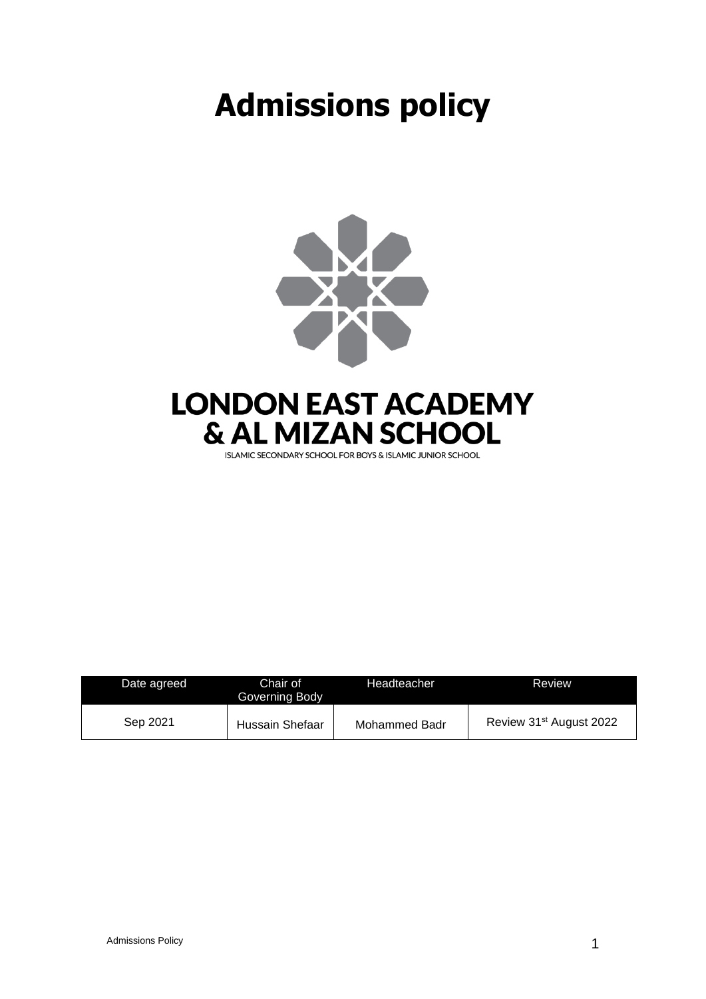# **Admissions policy**



| Date agreed | Chair of<br>Governing Body | Headteacher   | Review                              |
|-------------|----------------------------|---------------|-------------------------------------|
| Sep 2021    | Hussain Shefaar            | Mohammed Badr | Review 31 <sup>st</sup> August 2022 |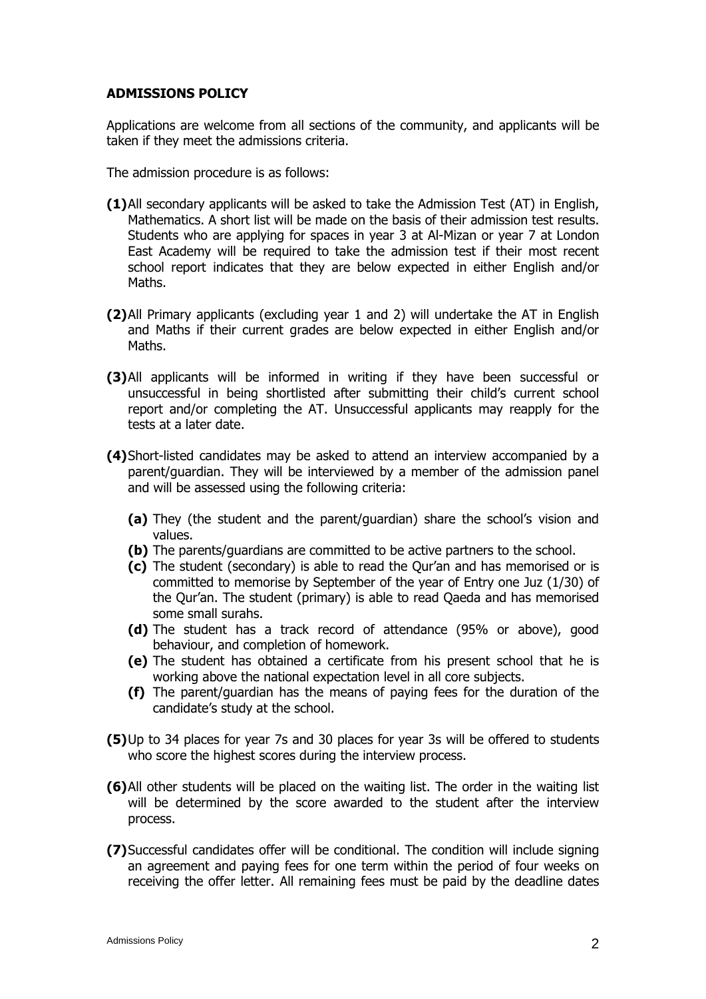### **ADMISSIONS POLICY**

Applications are welcome from all sections of the community, and applicants will be taken if they meet the admissions criteria.

The admission procedure is as follows:

- **(1)**All secondary applicants will be asked to take the Admission Test (AT) in English, Mathematics. A short list will be made on the basis of their admission test results. Students who are applying for spaces in year 3 at Al-Mizan or year 7 at London East Academy will be required to take the admission test if their most recent school report indicates that they are below expected in either English and/or Maths.
- **(2)**All Primary applicants (excluding year 1 and 2) will undertake the AT in English and Maths if their current grades are below expected in either English and/or Maths.
- **(3)**All applicants will be informed in writing if they have been successful or unsuccessful in being shortlisted after submitting their child's current school report and/or completing the AT. Unsuccessful applicants may reapply for the tests at a later date.
- **(4)**Short-listed candidates may be asked to attend an interview accompanied by a parent/guardian. They will be interviewed by a member of the admission panel and will be assessed using the following criteria:
	- **(a)** They (the student and the parent/guardian) share the school's vision and values.
	- **(b)** The parents/guardians are committed to be active partners to the school.
	- **(c)** The student (secondary) is able to read the Qur'an and has memorised or is committed to memorise by September of the year of Entry one Juz (1/30) of the Qur'an. The student (primary) is able to read Qaeda and has memorised some small surahs.
	- **(d)** The student has a track record of attendance (95% or above), good behaviour, and completion of homework.
	- **(e)** The student has obtained a certificate from his present school that he is working above the national expectation level in all core subjects.
	- **(f)** The parent/guardian has the means of paying fees for the duration of the candidate's study at the school.
- **(5)**Up to 34 places for year 7s and 30 places for year 3s will be offered to students who score the highest scores during the interview process.
- **(6)**All other students will be placed on the waiting list. The order in the waiting list will be determined by the score awarded to the student after the interview process.
- **(7)**Successful candidates offer will be conditional. The condition will include signing an agreement and paying fees for one term within the period of four weeks on receiving the offer letter. All remaining fees must be paid by the deadline dates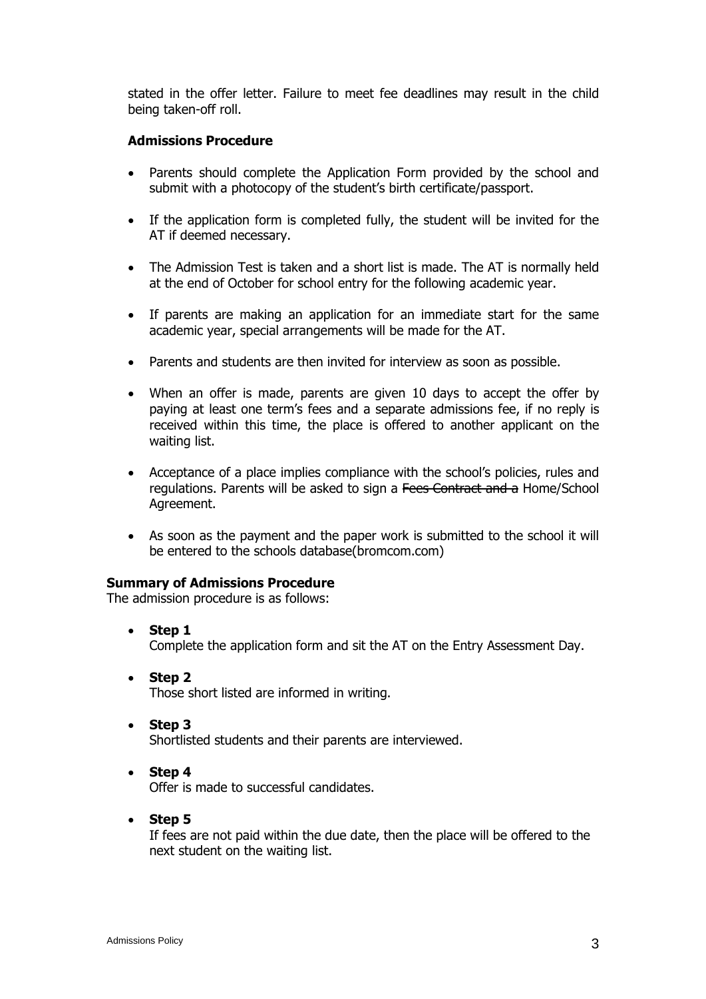stated in the offer letter. Failure to meet fee deadlines may result in the child being taken-off roll.

#### **Admissions Procedure**

- Parents should complete the Application Form provided by the school and submit with a photocopy of the student's birth certificate/passport.
- If the application form is completed fully, the student will be invited for the AT if deemed necessary.
- The Admission Test is taken and a short list is made. The AT is normally held at the end of October for school entry for the following academic year.
- If parents are making an application for an immediate start for the same academic year, special arrangements will be made for the AT.
- Parents and students are then invited for interview as soon as possible.
- When an offer is made, parents are given 10 days to accept the offer by paying at least one term's fees and a separate admissions fee, if no reply is received within this time, the place is offered to another applicant on the waiting list.
- Acceptance of a place implies compliance with the school's policies, rules and regulations. Parents will be asked to sign a Fees Contract and a Home/School Agreement.
- As soon as the payment and the paper work is submitted to the school it will be entered to the schools database(bromcom.com)

#### **Summary of Admissions Procedure**

The admission procedure is as follows:

- **Step 1** Complete the application form and sit the AT on the Entry Assessment Day.
- **Step 2** Those short listed are informed in writing.
- **Step 3**

Shortlisted students and their parents are interviewed.

• **Step 4**

Offer is made to successful candidates.

• **Step 5**

If fees are not paid within the due date, then the place will be offered to the next student on the waiting list.